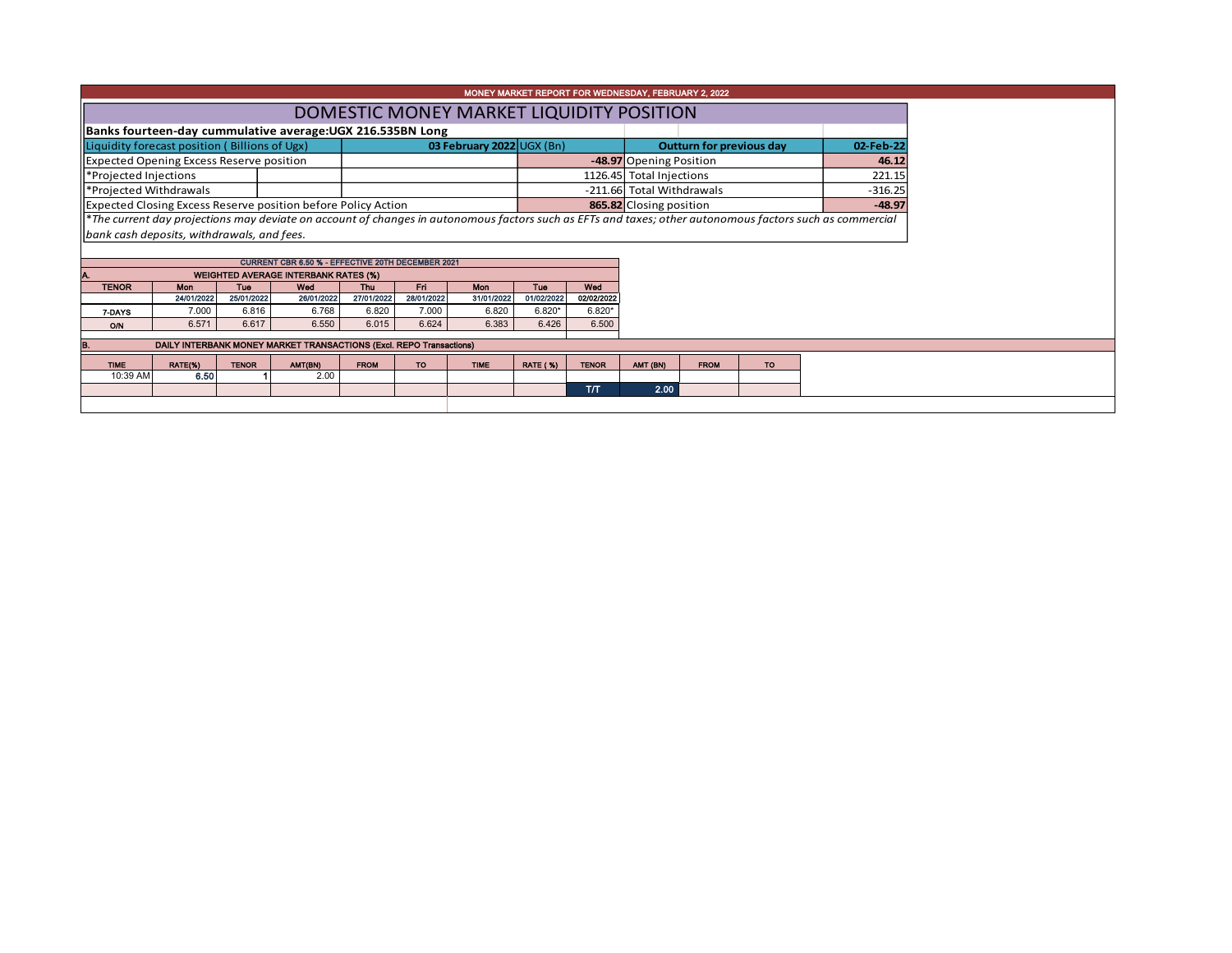| MONEY MARKET REPORT FOR WEDNESDAY, FEBRUARY 2, 2022                                                                                                      |                                                                                                      |              |                                                                     |                          |                           |                   |                                  |                                 |                          |                                        |           |  |  |  |  |
|----------------------------------------------------------------------------------------------------------------------------------------------------------|------------------------------------------------------------------------------------------------------|--------------|---------------------------------------------------------------------|--------------------------|---------------------------|-------------------|----------------------------------|---------------------------------|--------------------------|----------------------------------------|-----------|--|--|--|--|
|                                                                                                                                                          | DOMESTIC MONEY MARKET LIQUIDITY POSITION                                                             |              |                                                                     |                          |                           |                   |                                  |                                 |                          |                                        |           |  |  |  |  |
|                                                                                                                                                          | Banks fourteen-day cummulative average: UGX 216.535BN Long                                           |              |                                                                     |                          |                           |                   |                                  |                                 |                          |                                        |           |  |  |  |  |
| Liquidity forecast position (Billions of Ugx)                                                                                                            |                                                                                                      |              |                                                                     |                          | 03 February 2022 UGX (Bn) |                   |                                  | <b>Outturn for previous day</b> |                          | 02-Feb-22                              |           |  |  |  |  |
| <b>Expected Opening Excess Reserve position</b>                                                                                                          |                                                                                                      |              |                                                                     |                          |                           |                   | -48.97 Opening Position<br>46.12 |                                 |                          |                                        |           |  |  |  |  |
| *Projected Injections                                                                                                                                    |                                                                                                      |              |                                                                     |                          |                           |                   |                                  |                                 | 1126.45 Total Injections |                                        | 221.15    |  |  |  |  |
| *Projected Withdrawals                                                                                                                                   |                                                                                                      |              |                                                                     |                          |                           |                   |                                  |                                 |                          | -211.66 Total Withdrawals<br>$-316.25$ |           |  |  |  |  |
|                                                                                                                                                          | Expected Closing Excess Reserve position before Policy Action<br>865.82 Closing position<br>$-48.97$ |              |                                                                     |                          |                           |                   |                                  |                                 |                          |                                        |           |  |  |  |  |
| *The current day projections may deviate on account of changes in autonomous factors such as EFTs and taxes; other autonomous factors such as commercial |                                                                                                      |              |                                                                     |                          |                           |                   |                                  |                                 |                          |                                        |           |  |  |  |  |
| bank cash deposits, withdrawals, and fees.                                                                                                               |                                                                                                      |              |                                                                     |                          |                           |                   |                                  |                                 |                          |                                        |           |  |  |  |  |
|                                                                                                                                                          |                                                                                                      |              |                                                                     |                          |                           |                   |                                  |                                 |                          |                                        |           |  |  |  |  |
|                                                                                                                                                          |                                                                                                      |              | CURRENT CBR 6.50 % - EFFECTIVE 20TH DECEMBER 2021                   |                          |                           |                   |                                  |                                 |                          |                                        |           |  |  |  |  |
|                                                                                                                                                          |                                                                                                      | <b>Tue</b>   | <b>WEIGHTED AVERAGE INTERBANK RATES (%)</b><br>Wed                  |                          |                           |                   |                                  | Wed                             |                          |                                        |           |  |  |  |  |
| <b>TENOR</b>                                                                                                                                             | Mon<br>24/01/2022                                                                                    | 25/01/2022   | 26/01/2022                                                          | <b>Thu</b><br>27/01/2022 | Fri<br>28/01/2022         | Mon<br>31/01/2022 | <b>Tue</b><br>01/02/2022         | 02/02/2022                      |                          |                                        |           |  |  |  |  |
| 7-DAYS                                                                                                                                                   | 7.000                                                                                                | 6.816        | 6.768                                                               | 6.820                    | 7.000                     | 6.820             | $6.820*$                         | $6.820*$                        |                          |                                        |           |  |  |  |  |
| O/N                                                                                                                                                      | 6.571                                                                                                | 6.617        | 6.550                                                               | 6.015                    | 6.624                     | 6.383             | 6.426                            | 6.500                           |                          |                                        |           |  |  |  |  |
|                                                                                                                                                          |                                                                                                      |              | DAILY INTERBANK MONEY MARKET TRANSACTIONS (Excl. REPO Transactions) |                          |                           |                   |                                  |                                 |                          |                                        |           |  |  |  |  |
|                                                                                                                                                          |                                                                                                      |              |                                                                     |                          |                           |                   |                                  |                                 |                          |                                        |           |  |  |  |  |
| <b>TIME</b>                                                                                                                                              | RATE(%)                                                                                              | <b>TENOR</b> | AMT(BN)                                                             | <b>FROM</b>              | <b>TO</b>                 | <b>TIME</b>       | <b>RATE (%)</b>                  | <b>TENOR</b>                    | AMT (BN)                 | <b>FROM</b>                            | <b>TO</b> |  |  |  |  |
| 10:39 AM                                                                                                                                                 | 6.50                                                                                                 |              | 2.00                                                                |                          |                           |                   |                                  |                                 |                          |                                        |           |  |  |  |  |
|                                                                                                                                                          |                                                                                                      |              |                                                                     |                          |                           |                   |                                  | T/T                             | 2.00                     |                                        |           |  |  |  |  |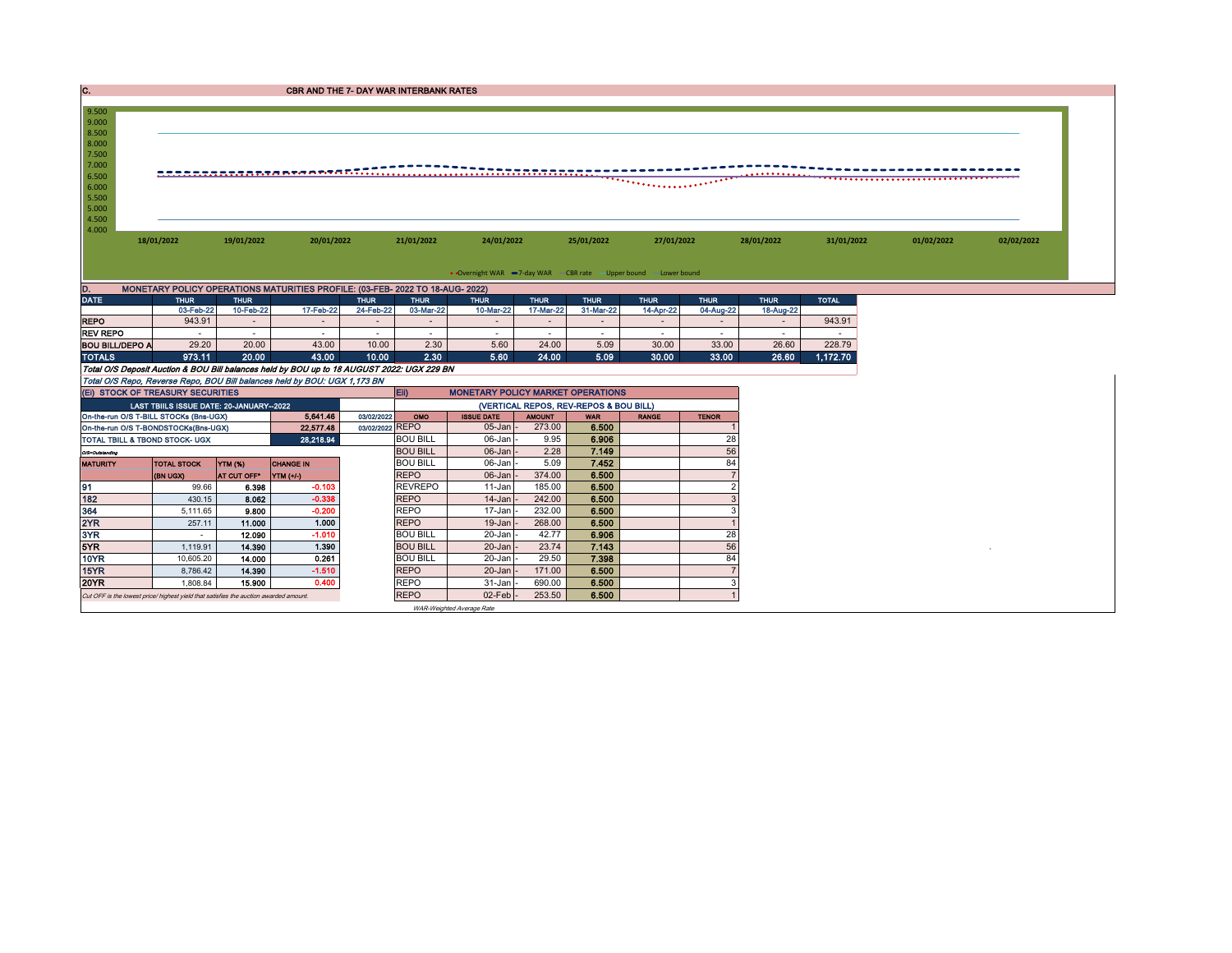| C.                                                                                    |                                                                   |                | <b>CBR AND THE 7- DAY WAR INTERBANK RATES</b>                                                                                                                           |                                                                                    |                 |                   |                          |                          |                          |                |                          |              |            |            |  |
|---------------------------------------------------------------------------------------|-------------------------------------------------------------------|----------------|-------------------------------------------------------------------------------------------------------------------------------------------------------------------------|------------------------------------------------------------------------------------|-----------------|-------------------|--------------------------|--------------------------|--------------------------|----------------|--------------------------|--------------|------------|------------|--|
| 9.500<br>9.000                                                                        |                                                                   |                |                                                                                                                                                                         |                                                                                    |                 |                   |                          |                          |                          |                |                          |              |            |            |  |
| 8.500<br>8.000<br>7.500<br>7.000<br>6.500<br>6.000<br>5.500<br>5.000<br>4.500         |                                                                   |                |                                                                                                                                                                         |                                                                                    |                 |                   |                          |                          |                          |                |                          |              |            |            |  |
| 4.000                                                                                 | 18/01/2022                                                        | 19/01/2022     | 20/01/2022                                                                                                                                                              |                                                                                    | 21/01/2022      | 24/01/2022        |                          | 25/01/2022               | 27/01/2022               |                | 28/01/2022               | 31/01/2022   | 01/02/2022 | 02/02/2022 |  |
|                                                                                       | • Overnight WAR -7-day WAR - CBR rate - Upper bound - Lower bound |                |                                                                                                                                                                         |                                                                                    |                 |                   |                          |                          |                          |                |                          |              |            |            |  |
| D.                                                                                    |                                                                   |                | MONETARY POLICY OPERATIONS MATURITIES PROFILE: (03-FEB- 2022 TO 18-AUG- 2022)                                                                                           |                                                                                    |                 |                   |                          |                          |                          |                |                          |              |            |            |  |
| <b>DATE</b>                                                                           | <b>THUR</b>                                                       | <b>THUR</b>    |                                                                                                                                                                         | <b>THUR</b><br><b>THUR</b>                                                         |                 | <b>THUR</b>       | <b>THUR</b>              | <b>THUR</b>              | <b>THUR</b>              | <b>THUR</b>    | <b>THUR</b>              | <b>TOTAL</b> |            |            |  |
|                                                                                       | 03-Feb-22                                                         | 10-Feb-22      | 17-Feb-22                                                                                                                                                               | 24-Feb-22                                                                          | 03-Mar-22       | 10-Mar-22         | 17-Mar-22                | 31-Mar-22                | 14-Apr-22                | 04-Aug-22      | 18-Aug-22                |              |            |            |  |
| <b>REPO</b>                                                                           | 943.91                                                            |                |                                                                                                                                                                         | $\overline{\phantom{a}}$                                                           | $\sim$          |                   |                          | $\overline{\phantom{a}}$ | $\overline{\phantom{a}}$ |                |                          | 943.91       |            |            |  |
| <b>REV REPO</b>                                                                       | $\sim$                                                            | $\sim$         | $\sim$                                                                                                                                                                  | ۰.                                                                                 | $\sim$          | $\sim$            | $\overline{\phantom{a}}$ | $\overline{\phantom{a}}$ | $\sim$                   | $\sim$         | $\overline{\phantom{a}}$ | $\sim$       |            |            |  |
| <b>BOU BILL/DEPO A</b>                                                                | 29.20                                                             | 20.00          | 43.00                                                                                                                                                                   | 10.00                                                                              | 2.30            | 5.60              | 24.00                    | 5.09                     | 30.00                    | 33.00          | 26.60                    | 228.79       |            |            |  |
| <b>TOTALS</b>                                                                         | 973.11                                                            | 20.00          | 43.00                                                                                                                                                                   | 10.00                                                                              | 2.30            | 5.60              | 24.00                    | 5.09                     | 30.00                    | 33.00          | 26.60                    | 1,172.70     |            |            |  |
|                                                                                       |                                                                   |                | Total O/S Deposit Auction & BOU Bill balances held by BOU up to 18 AUGUST 2022: UGX 229 BN<br>Total O/S Repo, Reverse Repo, BOU Bill balances held by BOU: UGX 1,173 BN |                                                                                    |                 |                   |                          |                          |                          |                |                          |              |            |            |  |
| (EI) STOCK OF TREASURY SECURITIES                                                     |                                                                   |                |                                                                                                                                                                         |                                                                                    | Eii)            |                   |                          |                          |                          |                |                          |              |            |            |  |
|                                                                                       | LAST TBIILS ISSUE DATE: 20-JANUARY-2022                           |                |                                                                                                                                                                         | <b>MONETARY POLICY MARKET OPERATIONS</b><br>(VERTICAL REPOS, REV-REPOS & BOU BILL) |                 |                   |                          |                          |                          |                |                          |              |            |            |  |
| On-the-run O/S T-BILL STOCKs (Bns-UGX)                                                |                                                                   |                | 5,641.46                                                                                                                                                                | 03/02/2022                                                                         | OMO             | <b>ISSUE DATE</b> | <b>AMOUNT</b>            | <b>WAR</b>               | <b>RANGE</b>             | <b>TENOR</b>   |                          |              |            |            |  |
| On-the-run O/S T-BONDSTOCKs(Bns-UGX)                                                  |                                                                   |                | 22,577.48                                                                                                                                                               | 03/02/2022 REPO                                                                    |                 | 05-Jan            | 273.00                   | 6.500                    |                          |                |                          |              |            |            |  |
| <b>TOTAL TBILL &amp; TBOND STOCK- UGX</b>                                             |                                                                   |                | 28,218.94                                                                                                                                                               |                                                                                    | <b>BOU BILL</b> | 06-Jan            | 9.95                     | 6.906                    |                          | 28             |                          |              |            |            |  |
| O/S=Outstanding                                                                       |                                                                   |                |                                                                                                                                                                         |                                                                                    | <b>BOU BILL</b> | 06-Jan            | 2.28                     | 7.149                    |                          | 56             |                          |              |            |            |  |
| <b>MATURITY</b>                                                                       | <b>TOTAL STOCK</b>                                                | <b>YTM (%)</b> | <b>CHANGE IN</b>                                                                                                                                                        |                                                                                    | <b>BOU BILL</b> | 06-Jan            | 5.09                     | 7.452                    |                          | 84             |                          |              |            |            |  |
|                                                                                       | (BN UGX)                                                          | AT CUT OFF*    | <b>YTM (+/-)</b>                                                                                                                                                        |                                                                                    | <b>REPO</b>     | 06-Jan            | 374.00                   | 6.500                    |                          |                |                          |              |            |            |  |
| 191                                                                                   | 99.66                                                             | 6.398          | $-0.103$                                                                                                                                                                |                                                                                    | <b>REVREPO</b>  | 11-Jan            | 185.00                   | 6.500                    |                          | $\overline{2}$ |                          |              |            |            |  |
| 182                                                                                   | 430.15                                                            | 8.062          | $-0.338$                                                                                                                                                                |                                                                                    | <b>REPO</b>     | 14-Jan            | 242.00                   | 6.500                    |                          | 3              |                          |              |            |            |  |
| 364                                                                                   | 5,111.65                                                          | 9,800          | $-0.200$                                                                                                                                                                |                                                                                    | <b>REPO</b>     | 17-Jan            | 232.00                   | 6.500                    |                          | 3              |                          |              |            |            |  |
| 2YR                                                                                   | 257.11                                                            | 11.000         | 1.000                                                                                                                                                                   |                                                                                    | <b>REPO</b>     | 19-Jan            | 268.00                   | 6.500                    |                          |                |                          |              |            |            |  |
| 3YR                                                                                   |                                                                   | 12.090         | $-1.010$                                                                                                                                                                |                                                                                    | <b>BOU BILL</b> | 20-Jan            | 42.77                    | 6.906                    |                          | 28             |                          |              |            |            |  |
| 5YR                                                                                   | 1,119.91                                                          | 14.390         | 1.390                                                                                                                                                                   |                                                                                    | <b>BOU BILL</b> | 20-Jan            | 23.74                    | 7.143                    |                          | 56             |                          |              |            |            |  |
| <b>10YR</b>                                                                           | 10,605.20                                                         | 14.000         | 0.261                                                                                                                                                                   |                                                                                    | <b>BOU BILL</b> | 20-Jan            | 29.50                    | 7.398                    |                          | 84             |                          |              |            |            |  |
| 15YR                                                                                  | 8,786.42                                                          | 14.390         | $-1.510$                                                                                                                                                                |                                                                                    | <b>REPO</b>     | 20-Jan            | 171.00                   | 6.500                    |                          |                |                          |              |            |            |  |
| <b>20YR</b>                                                                           | 1.808.84                                                          | 15,900         | 0.400                                                                                                                                                                   |                                                                                    | <b>REPO</b>     | 31-Jan            | 690.00                   | 6.500                    |                          | 3              |                          |              |            |            |  |
| Cut OFF is the lowest price/ highest yield that satisfies the auction awarded amount. |                                                                   |                |                                                                                                                                                                         |                                                                                    | <b>REPO</b>     | 02-Feb            | 253.50                   | 6.500                    |                          |                |                          |              |            |            |  |

WAR-Weighted Average Rate